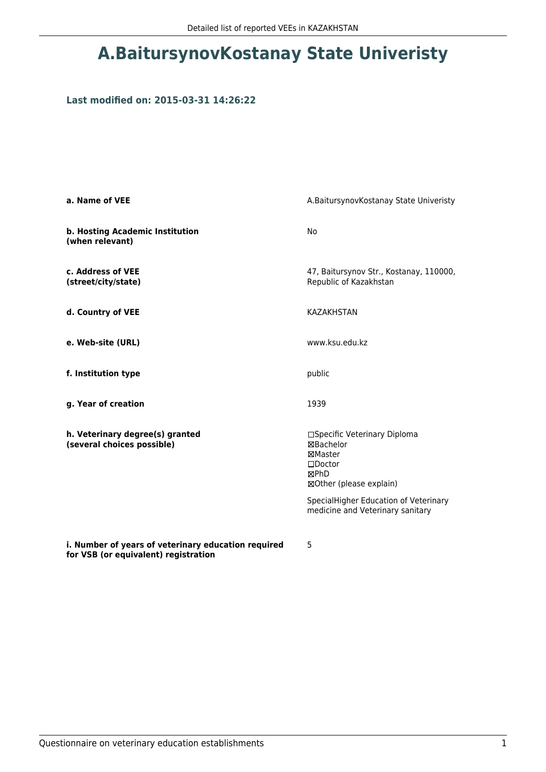# **A.BaitursynovKostanay State Univeristy**

#### **Last modified on: 2015-03-31 14:26:22**

| a. Name of VEE                                                                              | A.BaitursynovKostanay State Univeristy                                                                             |
|---------------------------------------------------------------------------------------------|--------------------------------------------------------------------------------------------------------------------|
| b. Hosting Academic Institution<br>(when relevant)                                          | No                                                                                                                 |
| c. Address of VEE<br>(street/city/state)                                                    | 47, Baitursynov Str., Kostanay, 110000,<br>Republic of Kazakhstan                                                  |
| d. Country of VEE                                                                           | <b>KAZAKHSTAN</b>                                                                                                  |
| e. Web-site (URL)                                                                           | www.ksu.edu.kz                                                                                                     |
| f. Institution type                                                                         | public                                                                                                             |
| g. Year of creation                                                                         | 1939                                                                                                               |
| h. Veterinary degree(s) granted<br>(several choices possible)                               | □Specific Veterinary Diploma<br><b>⊠Bachelor</b><br>⊠Master<br>$\square$ Doctor<br>⊠PhD<br>⊠Other (please explain) |
|                                                                                             | SpecialHigher Education of Veterinary<br>medicine and Veterinary sanitary                                          |
| i. Number of years of veterinary education required<br>for VSB (or equivalent) registration | 5                                                                                                                  |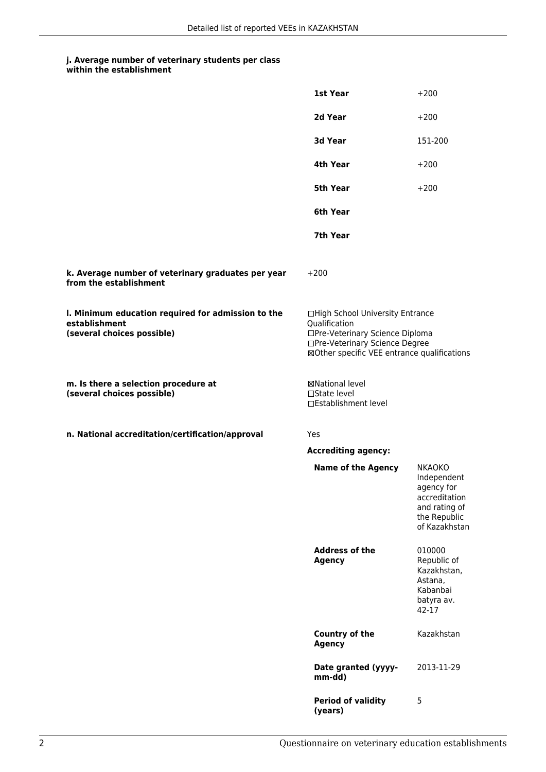#### **j. Average number of veterinary students per class within the establishment**

|                                                                                                   | 1st Year                                                                                                                                                              | $+200$                                                                                                        |
|---------------------------------------------------------------------------------------------------|-----------------------------------------------------------------------------------------------------------------------------------------------------------------------|---------------------------------------------------------------------------------------------------------------|
|                                                                                                   | 2d Year                                                                                                                                                               | $+200$                                                                                                        |
|                                                                                                   | 3d Year                                                                                                                                                               | 151-200                                                                                                       |
|                                                                                                   | 4th Year                                                                                                                                                              | $+200$                                                                                                        |
|                                                                                                   | <b>5th Year</b>                                                                                                                                                       | $+200$                                                                                                        |
|                                                                                                   | 6th Year                                                                                                                                                              |                                                                                                               |
|                                                                                                   | 7th Year                                                                                                                                                              |                                                                                                               |
| k. Average number of veterinary graduates per year<br>from the establishment                      | $+200$                                                                                                                                                                |                                                                                                               |
| I. Minimum education required for admission to the<br>establishment<br>(several choices possible) | □High School University Entrance<br>Qualification<br>□Pre-Veterinary Science Diploma<br>□Pre-Veterinary Science Degree<br>⊠Other specific VEE entrance qualifications |                                                                                                               |
| m. Is there a selection procedure at<br>(several choices possible)                                | ⊠National level<br>$\square$ State level<br>□Establishment level                                                                                                      |                                                                                                               |
| n. National accreditation/certification/approval                                                  | Yes                                                                                                                                                                   |                                                                                                               |
|                                                                                                   | <b>Accrediting agency:</b>                                                                                                                                            |                                                                                                               |
|                                                                                                   | <b>Name of the Agency</b>                                                                                                                                             | <b>NKAOKO</b><br>Independent<br>agency for<br>accreditation<br>and rating of<br>the Republic<br>of Kazakhstan |
|                                                                                                   | <b>Address of the</b><br><b>Agency</b>                                                                                                                                | 010000<br>Republic of<br>Kazakhstan,<br>Astana,<br>Kabanbai<br>batyra av.<br>42-17                            |
|                                                                                                   | <b>Country of the</b><br><b>Agency</b>                                                                                                                                | Kazakhstan                                                                                                    |
|                                                                                                   | Date granted (yyyy-<br>mm-dd)                                                                                                                                         | 2013-11-29                                                                                                    |
|                                                                                                   | <b>Period of validity</b><br>(years)                                                                                                                                  | 5                                                                                                             |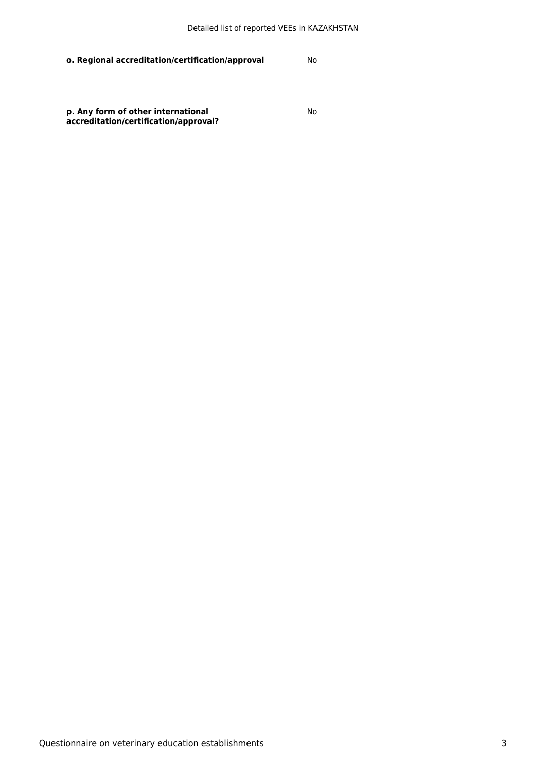**o. Regional accreditation/certification/approval** No

**p. Any form of other international accreditation/certification/approval?**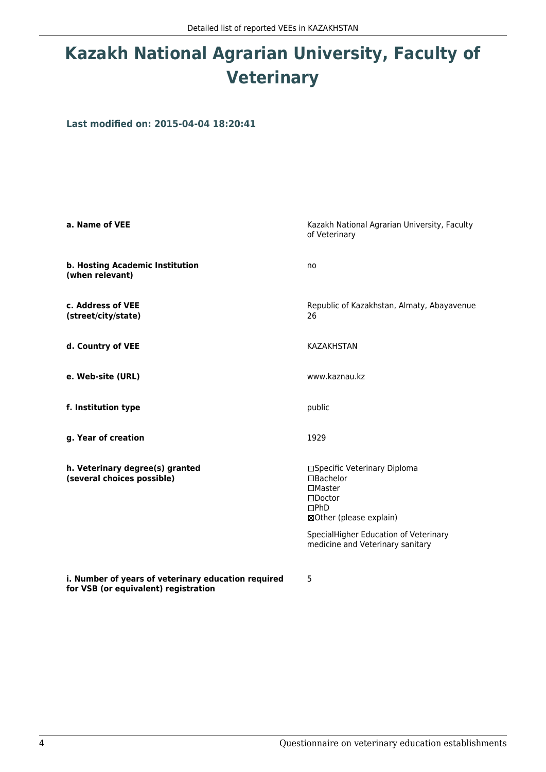# **Kazakh National Agrarian University, Faculty of Veterinary**

**Last modified on: 2015-04-04 18:20:41**

| a. Name of VEE                                                                                                                                                                                                                      | Kazakh National Agrarian University, Faculty<br>of Veterinary                                                                                                                                        |
|-------------------------------------------------------------------------------------------------------------------------------------------------------------------------------------------------------------------------------------|------------------------------------------------------------------------------------------------------------------------------------------------------------------------------------------------------|
| b. Hosting Academic Institution<br>(when relevant)                                                                                                                                                                                  | no                                                                                                                                                                                                   |
| c. Address of VEE<br>(street/city/state)                                                                                                                                                                                            | Republic of Kazakhstan, Almaty, Abayavenue<br>26                                                                                                                                                     |
| d. Country of VEE                                                                                                                                                                                                                   | <b>KAZAKHSTAN</b>                                                                                                                                                                                    |
| e. Web-site (URL)                                                                                                                                                                                                                   | www.kaznau.kz                                                                                                                                                                                        |
| f. Institution type                                                                                                                                                                                                                 | public                                                                                                                                                                                               |
| g. Year of creation                                                                                                                                                                                                                 | 1929                                                                                                                                                                                                 |
| h. Veterinary degree(s) granted<br>(several choices possible)                                                                                                                                                                       | □Specific Veterinary Diploma<br>□Bachelor<br>$\Box$ Master<br>$\square$ Doctor<br>$\Box$ PhD<br>⊠Other (please explain)<br>SpecialHigher Education of Veterinary<br>medicine and Veterinary sanitary |
| <b>For the contract of the contract of the state of the contract of the contract of the state of the state of the state of the state of the state of the state of the state of the state of the state of the state of the state</b> |                                                                                                                                                                                                      |

**i. Number of years of veterinary education required for VSB (or equivalent) registration**

5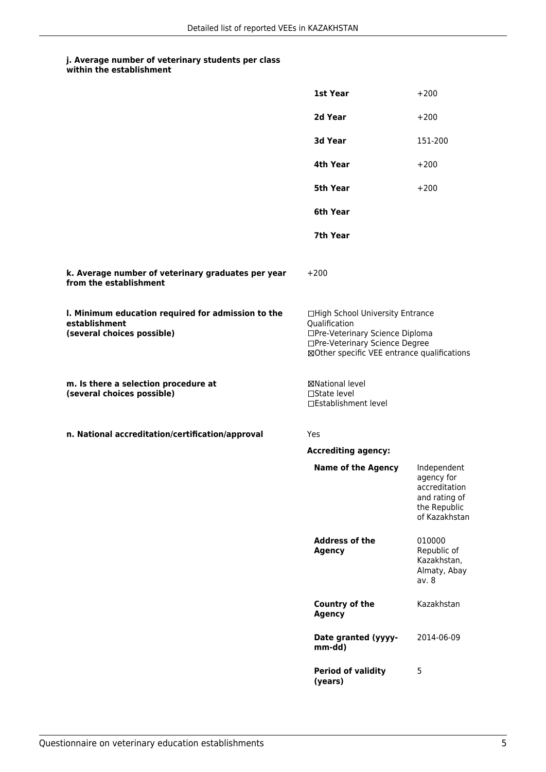|                                                                                                   | 1st Year                                                                                                                                                              | $+200$                                                                                       |
|---------------------------------------------------------------------------------------------------|-----------------------------------------------------------------------------------------------------------------------------------------------------------------------|----------------------------------------------------------------------------------------------|
|                                                                                                   | 2d Year                                                                                                                                                               | $+200$                                                                                       |
|                                                                                                   | 3d Year                                                                                                                                                               | 151-200                                                                                      |
|                                                                                                   | 4th Year                                                                                                                                                              | $+200$                                                                                       |
|                                                                                                   | 5th Year                                                                                                                                                              | $+200$                                                                                       |
|                                                                                                   | 6th Year                                                                                                                                                              |                                                                                              |
|                                                                                                   | 7th Year                                                                                                                                                              |                                                                                              |
| k. Average number of veterinary graduates per year<br>from the establishment                      | $+200$                                                                                                                                                                |                                                                                              |
| I. Minimum education required for admission to the<br>establishment<br>(several choices possible) | □High School University Entrance<br>Qualification<br>□Pre-Veterinary Science Diploma<br>□Pre-Veterinary Science Degree<br>⊠Other specific VEE entrance qualifications |                                                                                              |
| m. Is there a selection procedure at<br>(several choices possible)                                | ⊠National level<br>$\Box$ State level<br>□Establishment level                                                                                                         |                                                                                              |
| n. National accreditation/certification/approval                                                  | Yes                                                                                                                                                                   |                                                                                              |
|                                                                                                   | <b>Accrediting agency:</b>                                                                                                                                            |                                                                                              |
|                                                                                                   | <b>Name of the Agency</b>                                                                                                                                             | Independent<br>agency for<br>accreditation<br>and rating of<br>the Republic<br>of Kazakhstan |
|                                                                                                   | <b>Address of the</b><br><b>Agency</b>                                                                                                                                | 010000<br>Republic of<br>Kazakhstan,<br>Almaty, Abay<br>av. 8                                |
|                                                                                                   | Country of the<br><b>Agency</b>                                                                                                                                       | Kazakhstan                                                                                   |
|                                                                                                   | Date granted (yyyy-<br>mm-dd)                                                                                                                                         | 2014-06-09                                                                                   |
|                                                                                                   | <b>Period of validity</b><br>(years)                                                                                                                                  | 5                                                                                            |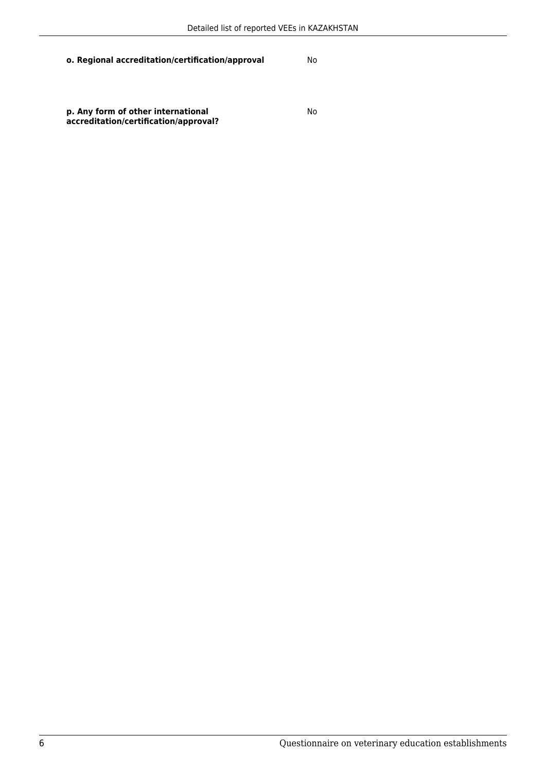#### **o. Regional accreditation/certification/approval** No

**p. Any form of other international accreditation/certification/approval?**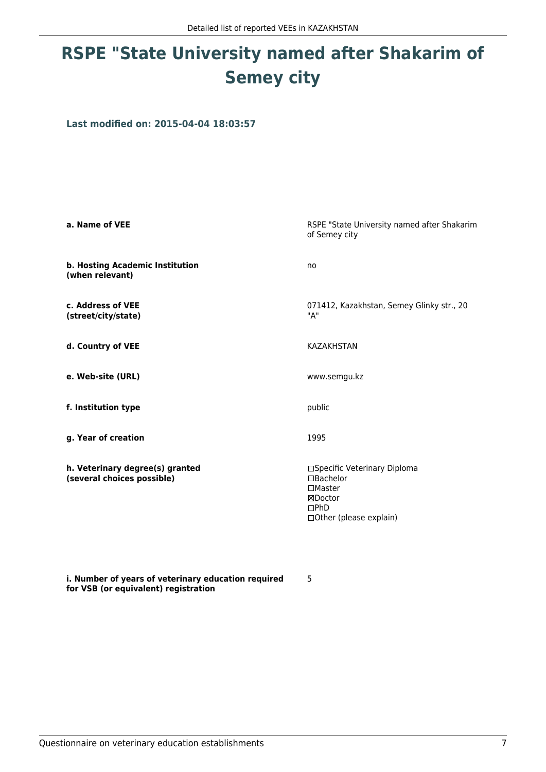# **RSPE "State University named after Shakarim of Semey city**

**Last modified on: 2015-04-04 18:03:57**

| a. Name of VEE                                                | RSPE "State University named after Shakarim<br>of Semey city                                                                |
|---------------------------------------------------------------|-----------------------------------------------------------------------------------------------------------------------------|
| b. Hosting Academic Institution<br>(when relevant)            | no                                                                                                                          |
| c. Address of VEE<br>(street/city/state)                      | 071412, Kazakhstan, Semey Glinky str., 20<br>"А"                                                                            |
| d. Country of VEE                                             | <b>KAZAKHSTAN</b>                                                                                                           |
| e. Web-site (URL)                                             | www.semgu.kz                                                                                                                |
| f. Institution type                                           | public                                                                                                                      |
| g. Year of creation                                           | 1995                                                                                                                        |
| h. Veterinary degree(s) granted<br>(several choices possible) | □Specific Veterinary Diploma<br>$\Box$ Bachelor<br>$\square$ Master<br>⊠Doctor<br>$\square$ PhD<br>□ Other (please explain) |

5

**i. Number of years of veterinary education required for VSB (or equivalent) registration**

Questionnaire on veterinary education establishments 7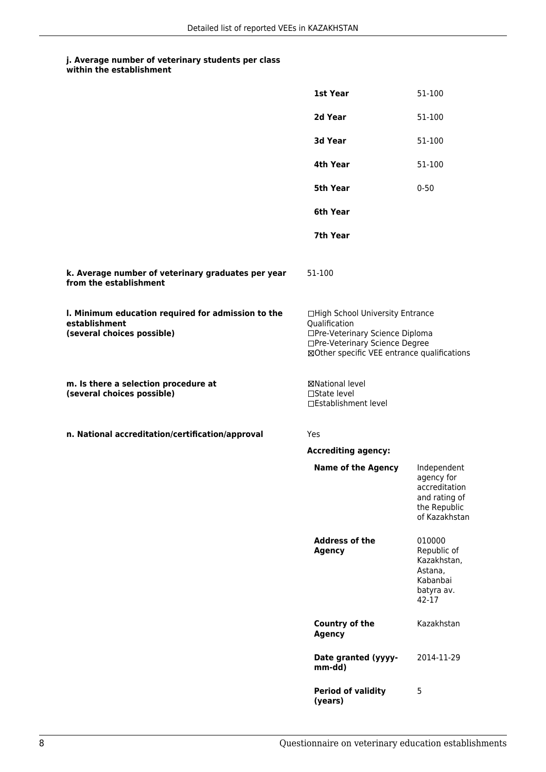#### **j. Average number of veterinary students per class within the establishment**

|                                                                                                   | 1st Year                                                                                                                                                              | 51-100                                                                                       |
|---------------------------------------------------------------------------------------------------|-----------------------------------------------------------------------------------------------------------------------------------------------------------------------|----------------------------------------------------------------------------------------------|
|                                                                                                   | 2d Year                                                                                                                                                               | 51-100                                                                                       |
|                                                                                                   | <b>3d Year</b>                                                                                                                                                        | 51-100                                                                                       |
|                                                                                                   | 4th Year                                                                                                                                                              | 51-100                                                                                       |
|                                                                                                   | 5th Year                                                                                                                                                              | $0 - 50$                                                                                     |
|                                                                                                   | 6th Year                                                                                                                                                              |                                                                                              |
|                                                                                                   | 7th Year                                                                                                                                                              |                                                                                              |
| k. Average number of veterinary graduates per year<br>from the establishment                      | 51-100                                                                                                                                                                |                                                                                              |
| I. Minimum education required for admission to the<br>establishment<br>(several choices possible) | □High School University Entrance<br>Qualification<br>□Pre-Veterinary Science Diploma<br>□Pre-Veterinary Science Degree<br>⊠Other specific VEE entrance qualifications |                                                                                              |
| m. Is there a selection procedure at<br>(several choices possible)                                | ⊠National level<br>$\Box$ State level<br>□Establishment level                                                                                                         |                                                                                              |
| n. National accreditation/certification/approval                                                  | Yes                                                                                                                                                                   |                                                                                              |
|                                                                                                   | <b>Accrediting agency:</b>                                                                                                                                            |                                                                                              |
|                                                                                                   | <b>Name of the Agency</b>                                                                                                                                             | Independent<br>agency for<br>accreditation<br>and rating of<br>the Republic<br>of Kazakhstan |
|                                                                                                   | <b>Address of the</b><br><b>Agency</b>                                                                                                                                | 010000<br>Republic of<br>Kazakhstan,<br>Astana,<br>Kabanbai<br>batyra av.<br>42-17           |
|                                                                                                   | <b>Country of the</b><br><b>Agency</b>                                                                                                                                | Kazakhstan                                                                                   |
|                                                                                                   | Date granted (yyyy-<br>mm-dd)                                                                                                                                         | 2014-11-29                                                                                   |
|                                                                                                   | <b>Period of validity</b><br>(years)                                                                                                                                  | 5                                                                                            |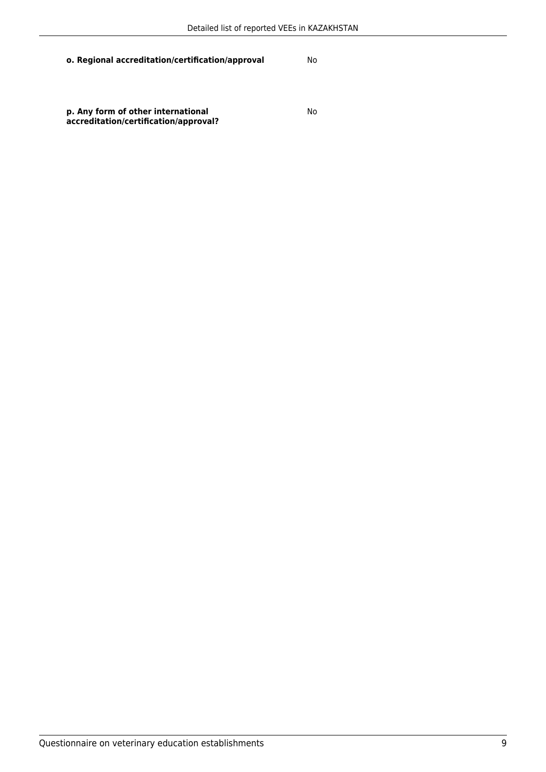**o. Regional accreditation/certification/approval** No

**p. Any form of other international accreditation/certification/approval?**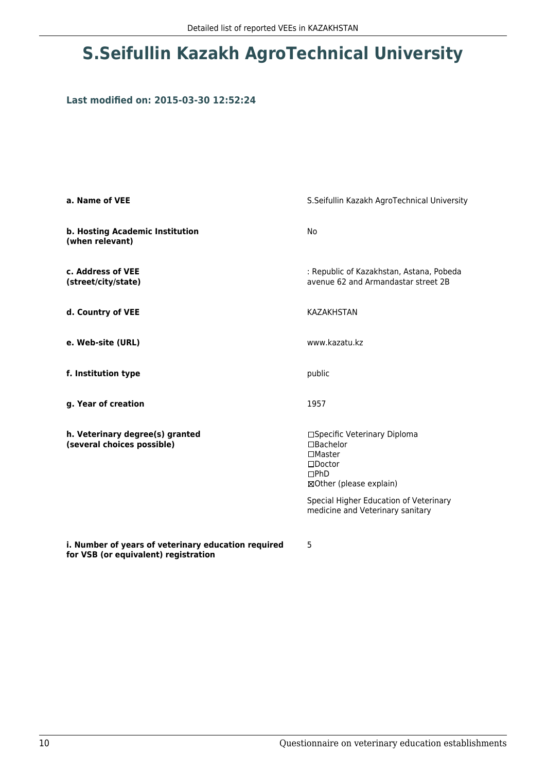## **S.Seifullin Kazakh AgroTechnical University**

#### **Last modified on: 2015-03-30 12:52:24**

| a. Name of VEE                                                                              | S.Seifullin Kazakh AgroTechnical University                                                                                                                 |
|---------------------------------------------------------------------------------------------|-------------------------------------------------------------------------------------------------------------------------------------------------------------|
| b. Hosting Academic Institution<br>(when relevant)                                          | No                                                                                                                                                          |
| c. Address of VEE<br>(street/city/state)                                                    | : Republic of Kazakhstan, Astana, Pobeda<br>avenue 62 and Armandastar street 2B                                                                             |
| d. Country of VEE                                                                           | <b>KAZAKHSTAN</b>                                                                                                                                           |
| e. Web-site (URL)                                                                           | www.kazatu.kz                                                                                                                                               |
| f. Institution type                                                                         | public                                                                                                                                                      |
| g. Year of creation                                                                         | 1957                                                                                                                                                        |
| h. Veterinary degree(s) granted<br>(several choices possible)                               | □Specific Veterinary Diploma<br>□Bachelor<br>$\Box$ Master<br>$\square$ Doctor<br>DPhD<br>⊠Other (please explain)<br>Special Higher Education of Veterinary |
|                                                                                             | medicine and Veterinary sanitary                                                                                                                            |
| i. Number of years of veterinary education required<br>for VSB (or equivalent) registration | 5                                                                                                                                                           |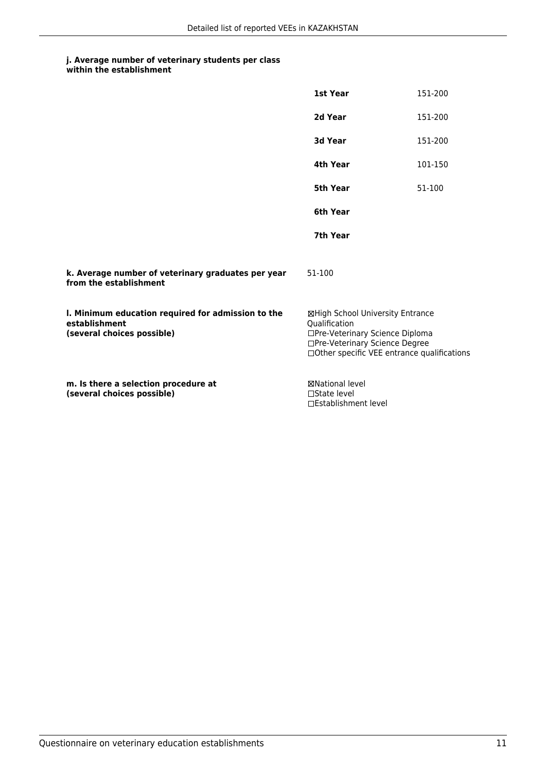| within the establishment |
|--------------------------|
|                          |

|                                                                                                   | 1st Year                                                                                                                                                              | 151-200 |
|---------------------------------------------------------------------------------------------------|-----------------------------------------------------------------------------------------------------------------------------------------------------------------------|---------|
|                                                                                                   | 2d Year                                                                                                                                                               | 151-200 |
|                                                                                                   | 3d Year                                                                                                                                                               | 151-200 |
|                                                                                                   | 4th Year                                                                                                                                                              | 101-150 |
|                                                                                                   | 5th Year                                                                                                                                                              | 51-100  |
|                                                                                                   | 6th Year                                                                                                                                                              |         |
|                                                                                                   | 7th Year                                                                                                                                                              |         |
| k. Average number of veterinary graduates per year<br>from the establishment                      | 51-100                                                                                                                                                                |         |
| I. Minimum education required for admission to the<br>establishment<br>(several choices possible) | ⊠High School University Entrance<br>Qualification<br>□Pre-Veterinary Science Diploma<br>□Pre-Veterinary Science Degree<br>□Other specific VEE entrance qualifications |         |
| m. Is there a selection procedure at<br>(several choices possible)                                | <b>⊠National level</b><br>$\Box$ State level<br>□Establishment level                                                                                                  |         |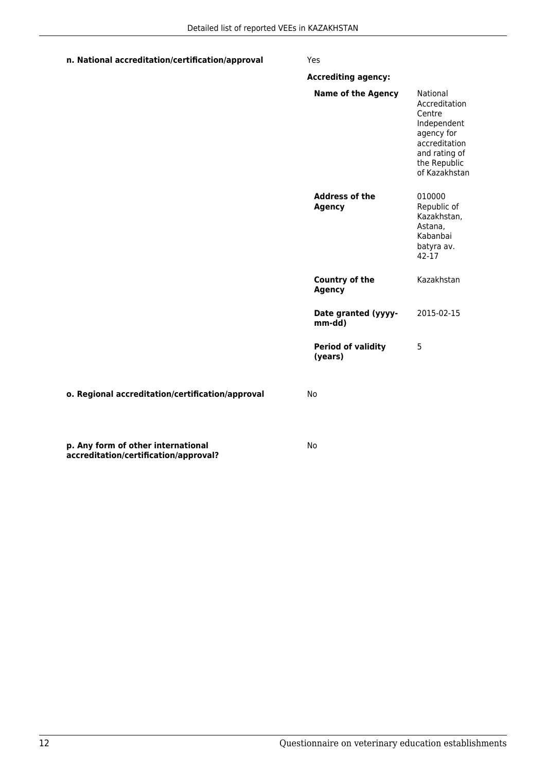| n. National accreditation/certification/approval | Yes                                    |                                                                                                                                     |
|--------------------------------------------------|----------------------------------------|-------------------------------------------------------------------------------------------------------------------------------------|
|                                                  | <b>Accrediting agency:</b>             |                                                                                                                                     |
|                                                  | <b>Name of the Agency</b>              | National<br>Accreditation<br>Centre<br>Independent<br>agency for<br>accreditation<br>and rating of<br>the Republic<br>of Kazakhstan |
|                                                  | <b>Address of the</b><br><b>Agency</b> | 010000<br>Republic of<br>Kazakhstan,<br>Astana,<br>Kabanbai<br>batyra av.<br>$42 - 17$                                              |
|                                                  | <b>Country of the</b><br><b>Agency</b> | Kazakhstan                                                                                                                          |
|                                                  | Date granted (yyyy-<br>mm-dd)          | 2015-02-15                                                                                                                          |
|                                                  | <b>Period of validity</b><br>(years)   | 5                                                                                                                                   |
| o. Regional accreditation/certification/approval | No                                     |                                                                                                                                     |
|                                                  |                                        |                                                                                                                                     |

No

**p. Any form of other international accreditation/certification/approval?**

12 Questionnaire on veterinary education establishments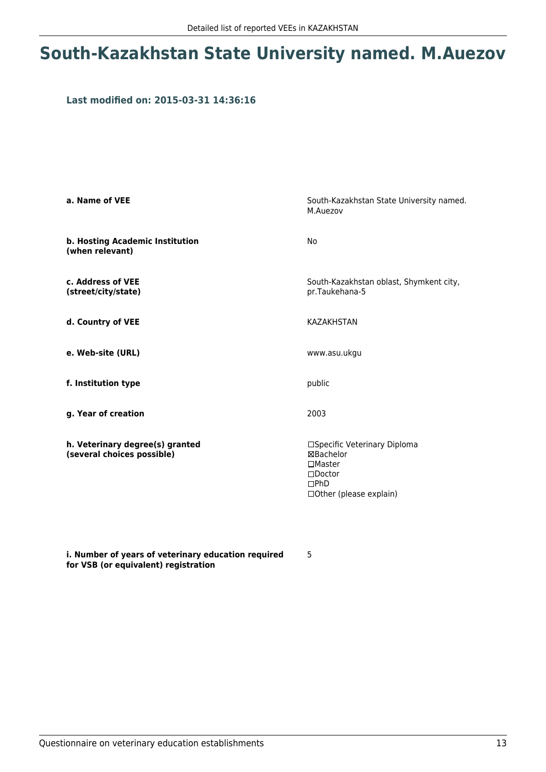## **South-Kazakhstan State University named. M.Auezov**

#### **Last modified on: 2015-03-31 14:36:16**

| a. Name of VEE                                                | South-Kazakhstan State University named.<br>M.Auezov                                                                        |
|---------------------------------------------------------------|-----------------------------------------------------------------------------------------------------------------------------|
| b. Hosting Academic Institution<br>(when relevant)            | No                                                                                                                          |
| c. Address of VEE<br>(street/city/state)                      | South-Kazakhstan oblast, Shymkent city,<br>pr.Taukehana-5                                                                   |
| d. Country of VEE                                             | <b>KAZAKHSTAN</b>                                                                                                           |
| e. Web-site (URL)                                             | www.asu.ukgu                                                                                                                |
| f. Institution type                                           | public                                                                                                                      |
| g. Year of creation                                           | 2003                                                                                                                        |
| h. Veterinary degree(s) granted<br>(several choices possible) | □Specific Veterinary Diploma<br>⊠Bachelor<br>$\Box$ Master<br>$\square$ Doctor<br>$\square$ PhD<br>□ Other (please explain) |

**i. Number of years of veterinary education required for VSB (or equivalent) registration**

5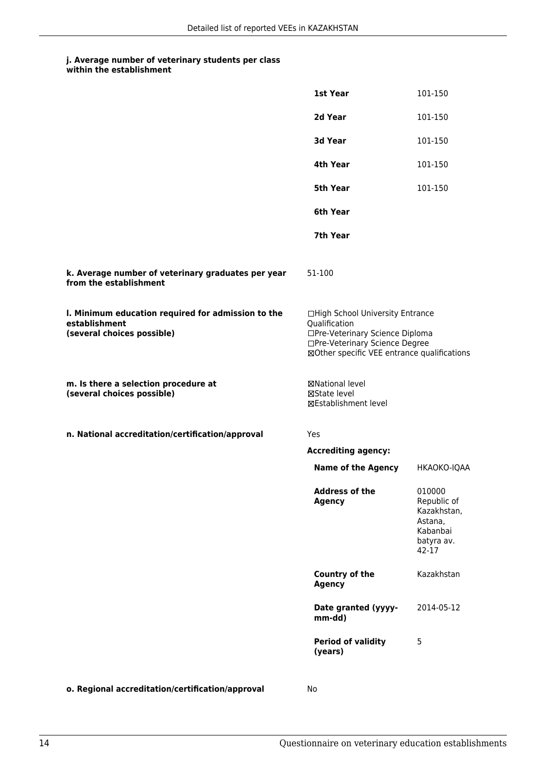|                                                                                                   | 1st Year                                                                                                                                                              | 101-150                                                                            |
|---------------------------------------------------------------------------------------------------|-----------------------------------------------------------------------------------------------------------------------------------------------------------------------|------------------------------------------------------------------------------------|
|                                                                                                   | 2d Year                                                                                                                                                               | 101-150                                                                            |
|                                                                                                   | 3d Year                                                                                                                                                               | 101-150                                                                            |
|                                                                                                   | 4th Year                                                                                                                                                              | 101-150                                                                            |
|                                                                                                   | 5th Year                                                                                                                                                              | 101-150                                                                            |
|                                                                                                   | 6th Year                                                                                                                                                              |                                                                                    |
|                                                                                                   | 7th Year                                                                                                                                                              |                                                                                    |
| k. Average number of veterinary graduates per year<br>from the establishment                      | 51-100                                                                                                                                                                |                                                                                    |
| I. Minimum education required for admission to the<br>establishment<br>(several choices possible) | □High School University Entrance<br>Qualification<br>□Pre-Veterinary Science Diploma<br>□Pre-Veterinary Science Degree<br>⊠Other specific VEE entrance qualifications |                                                                                    |
| m. Is there a selection procedure at<br>(several choices possible)                                | ⊠National level<br>⊠State level<br>⊠Establishment level                                                                                                               |                                                                                    |
| n. National accreditation/certification/approval                                                  | Yes                                                                                                                                                                   |                                                                                    |
|                                                                                                   | <b>Accrediting agency:</b>                                                                                                                                            |                                                                                    |
|                                                                                                   | <b>Name of the Agency</b>                                                                                                                                             | HKAOKO-IQAA                                                                        |
|                                                                                                   | Address of the<br><b>Agency</b>                                                                                                                                       | 010000<br>Republic of<br>Kazakhstan,<br>Astana,<br>Kabanbai<br>batyra av.<br>42-17 |
|                                                                                                   | Country of the<br><b>Agency</b>                                                                                                                                       | Kazakhstan                                                                         |
|                                                                                                   | Date granted (yyyy-<br>mm-dd)                                                                                                                                         | 2014-05-12                                                                         |
|                                                                                                   | <b>Period of validity</b><br>(years)                                                                                                                                  | 5                                                                                  |
| o. Regional accreditation/certification/approval                                                  | No                                                                                                                                                                    |                                                                                    |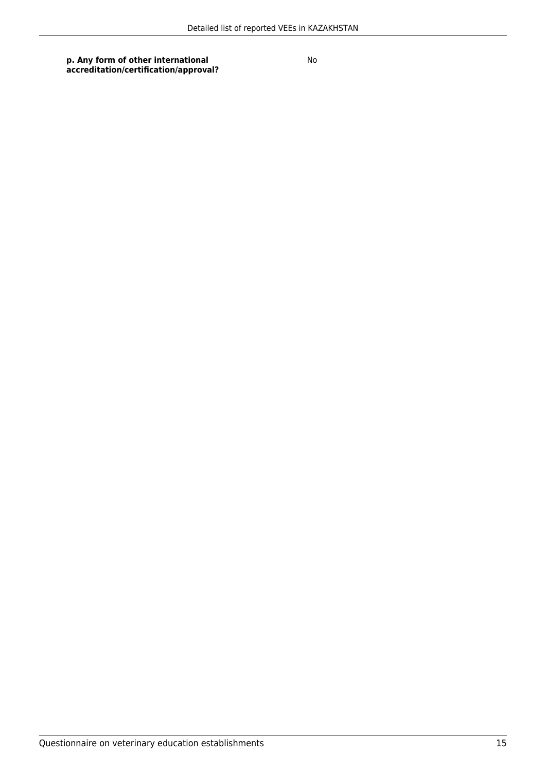**p. Any form of other international accreditation/certification/approval?**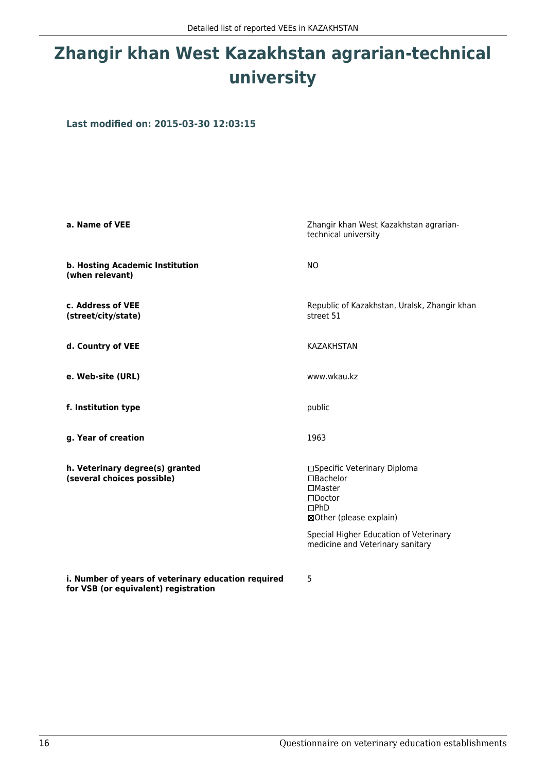# **Zhangir khan West Kazakhstan agrarian-technical university**

**Last modified on: 2015-03-30 12:03:15**

| a. Name of VEE                                                | Zhangir khan West Kazakhstan agrarian-<br>technical university                                                                                                                                        |
|---------------------------------------------------------------|-------------------------------------------------------------------------------------------------------------------------------------------------------------------------------------------------------|
| b. Hosting Academic Institution<br>(when relevant)            | <b>NO</b>                                                                                                                                                                                             |
| c. Address of VEE<br>(street/city/state)                      | Republic of Kazakhstan, Uralsk, Zhangir khan<br>street 51                                                                                                                                             |
| d. Country of VEE                                             | <b>KAZAKHSTAN</b>                                                                                                                                                                                     |
| e. Web-site (URL)                                             | www.wkau.kz                                                                                                                                                                                           |
| f. Institution type                                           | public                                                                                                                                                                                                |
| g. Year of creation                                           | 1963                                                                                                                                                                                                  |
| h. Veterinary degree(s) granted<br>(several choices possible) | □Specific Veterinary Diploma<br>□Bachelor<br>$\Box$ Master<br>$\square$ Doctor<br>$\Box$ PhD<br>⊠Other (please explain)<br>Special Higher Education of Veterinary<br>medicine and Veterinary sanitary |

**i. Number of years of veterinary education required for VSB (or equivalent) registration**

5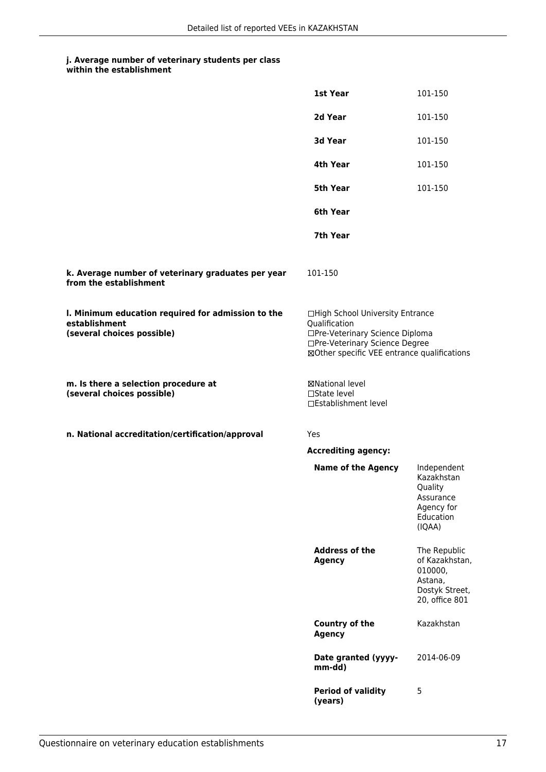| within the establishment |
|--------------------------|
|--------------------------|

|                                                                                                   | 1st Year                                                                                                                                                              | 101-150                                                                                  |
|---------------------------------------------------------------------------------------------------|-----------------------------------------------------------------------------------------------------------------------------------------------------------------------|------------------------------------------------------------------------------------------|
|                                                                                                   | 2d Year                                                                                                                                                               | 101-150                                                                                  |
|                                                                                                   | 3d Year                                                                                                                                                               | 101-150                                                                                  |
|                                                                                                   | 4th Year                                                                                                                                                              | 101-150                                                                                  |
|                                                                                                   | 5th Year                                                                                                                                                              | 101-150                                                                                  |
|                                                                                                   | 6th Year                                                                                                                                                              |                                                                                          |
|                                                                                                   | 7th Year                                                                                                                                                              |                                                                                          |
| k. Average number of veterinary graduates per year<br>from the establishment                      | 101-150                                                                                                                                                               |                                                                                          |
| I. Minimum education required for admission to the<br>establishment<br>(several choices possible) | □High School University Entrance<br>Qualification<br>□Pre-Veterinary Science Diploma<br>□Pre-Veterinary Science Degree<br>⊠Other specific VEE entrance qualifications |                                                                                          |
| m. Is there a selection procedure at<br>(several choices possible)                                | ⊠National level<br>□State level<br>□Establishment level                                                                                                               |                                                                                          |
| n. National accreditation/certification/approval                                                  | Yes                                                                                                                                                                   |                                                                                          |
|                                                                                                   | <b>Accrediting agency:</b>                                                                                                                                            |                                                                                          |
|                                                                                                   | <b>Name of the Agency</b>                                                                                                                                             | Independent<br>Kazakhstan<br>Quality<br>Assurance<br>Agency for<br>Education<br>(IQAA)   |
|                                                                                                   | <b>Address of the</b><br><b>Agency</b>                                                                                                                                | The Republic<br>of Kazakhstan,<br>010000,<br>Astana,<br>Dostyk Street,<br>20, office 801 |
|                                                                                                   | <b>Country of the</b><br><b>Agency</b>                                                                                                                                | Kazakhstan                                                                               |
|                                                                                                   | Date granted (yyyy-<br>mm-dd)                                                                                                                                         | 2014-06-09                                                                               |
|                                                                                                   | <b>Period of validity</b><br>(years)                                                                                                                                  | 5                                                                                        |